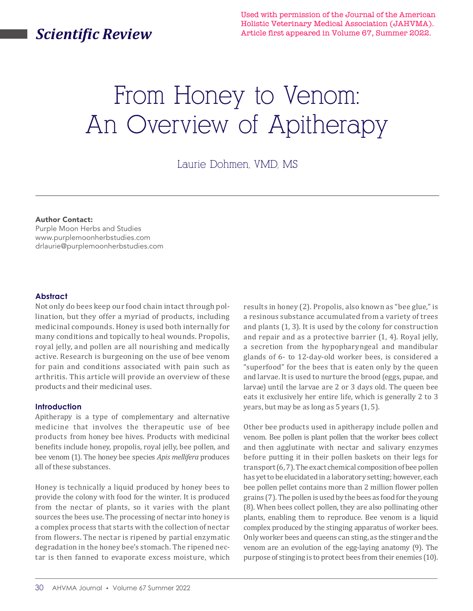# *Scientific Review*

Used with permission of the Journal of the American Holistic Veterinary Medical Association (JAHVMA). Article first appeared in Volume 67, Summer 2022.

# From Honey to Venom: An Overview of Apitherapy

Laurie Dohmen, VMD, MS

#### Author Contact:

Purple Moon Herbs and Studies www.purplemoonherbstudies.com drlaurie@purplemoonherbstudies.com

#### **Abstract**

Not only do bees keep our food chain intact through pollination, but they offer a myriad of products, including medicinal compounds. Honey is used both internally for many conditions and topically to heal wounds. Propolis, royal jelly, and pollen are all nourishing and medically active. Research is burgeoning on the use of bee venom for pain and conditions associated with pain such as arthritis. This article will provide an overview of these products and their medicinal uses.

#### **Introduction**

Apitherapy is a type of complementary and alternative medicine that involves the therapeutic use of bee products from honey bee hives. Products with medicinal benefits include honey, propolis, royal jelly, bee pollen, and bee venom (1). The honey bee species *Apis mellifera* produces all of these substances.

Honey is technically a liquid produced by honey bees to provide the colony with food for the winter. It is produced from the nectar of plants, so it varies with the plant sources the bees use. The processing of nectar into honey is a complex process that starts with the collection of nectar from flowers. The nectar is ripened by partial enzymatic degradation in the honey bee's stomach. The ripened nectar is then fanned to evaporate excess moisture, which

results in honey (2). Propolis, also known as "bee glue," is a resinous substance accumulated from a variety of trees and plants (1, 3). It is used by the colony for construction and repair and as a protective barrier (1, 4). Royal jelly, a secretion from the hypopharyngeal and mandibular glands of 6- to 12-day-old worker bees, is considered a "superfood" for the bees that is eaten only by the queen and larvae. It is used to nurture the brood (eggs, pupae, and larvae) until the larvae are 2 or 3 days old. The queen bee eats it exclusively her entire life, which is generally 2 to 3 years, but may be as long as 5 years (1, 5).

Other bee products used in apitherapy include pollen and venom. Bee pollen is plant pollen that the worker bees collect and then agglutinate with nectar and salivary enzymes before putting it in their pollen baskets on their legs for transport (6, 7). The exact chemical composition of bee pollen has yet to be elucidated in a laboratory setting; however, each bee pollen pellet contains more than 2 million flower pollen grains (7). The pollen is used by the bees as food for the young (8). When bees collect pollen, they are also pollinating other plants, enabling them to reproduce. Bee venom is a liquid complex produced by the stinging apparatus of worker bees. Only worker bees and queens can sting, as the stinger and the venom are an evolution of the egg-laying anatomy (9). The purpose of stinging is to protect bees from their enemies (10).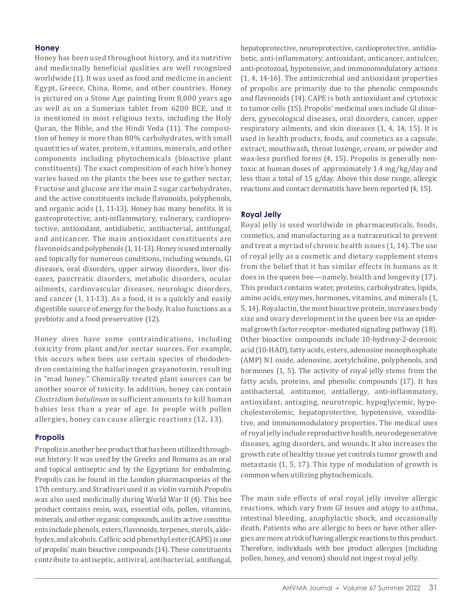## **Honey**

Honey has been used throughout history, and its nutritive and medicinally beneficial qualities are well recognized worldwide (1). It was used as food and medicine in ancient Egypt, Greece, China, Rome, and other countries. Honey is pictured on a Stone Age painting from 8,000 years ago as well as on a Sumerian tablet from 6200 BCE, and it is mentioned in most religious texts, including the Holy Quran, the Bible, and the Hindi Veda (11). The composition of honey is more than 80% carbohydrates, with small quantities of water, protein, vitamins, minerals, and other components including phytochemicals (bioactive plant constituents). The exact composition of each hive's honey varies based on the plants the bees use to gather nectar. Fructose and glucose are the main 2 sugar carbohydrates, and the active constituents include flavonoids, polyphenols, and organic acids (1, 11-13). Honey has many benefits. It is gastroprotective, anti-inflammatory, vulnerary, cardioprotective, antioxidant, antidiabetic, antibacterial, antifungal, and anticancer. The main antioxidant constituents are flavonoids and polyphenols (1, 11-13). Honey is used internally and topically for numerous conditions, including wounds, GI diseases, oral disorders, upper airway disorders, liver diseases, pancreatic disorders, metabolic disorders, ocular ailments, cardiovascular diseases, neurologic disorders, and cancer (1, 11-13). As a food, it is a quickly and easily digestible source of energy for the body. It also functions as a prebiotic and a food preservative (12).

Honey does have some contraindications, including toxicity from plant and/or nectar sources. For example, this occurs when bees use certain species of rhododendron containing the hallucinogen grayanotoxin, resulting in "mad honey." Chemically treated plant sources can be another source of toxicity. In addition, honey can contain *Clostridium botulinum* in sufficient amounts to kill human babies less than a year of age. In people with pollen allergies, honey can cause allergic reactions (12, 13).

# **Propolis**

Propolis is another bee product that has been utilized throughout history. It was used by the Greeks and Romans as an oral and topical antiseptic and by the Egyptians for embalming. Propolis can be found in the London pharmacopoeias of the 17th century, and Stradivari used it as violin varnish.Propolis was also used medicinally during World War II (4). This bee product contains resin, wax, essential oils, pollen, vitamins, minerals, and other organic compounds, and its active constituents include phenols, esters, flavonoids, terpenes, sterols, aldehydes, and alcohols. Caffeic acid phenethyl ester (CAPE) is one of propolis' main bioactive compounds (14). These constituents contribute to antiseptic, antiviral, antibacterial, antifungal, hepatoprotective, neuroprotective, cardioprotective, antidiabetic, anti-inflammatory, antioxidant, anticancer, antiulcer, anti-protozoal, hypotensive, and immunomodulatory actions (1, 4, 14-16). The antimicrobial and antioxidant properties of propolis are primarily due to the phenolic compounds and flavonoids (14). CAPE is both antioxidant and cytotoxic to tumor cells (15). Propolis' medicinal uses include GI disorders, gynecological diseases, oral disorders, cancer, upper respiratory ailments, and skin diseases (1, 4, 14, 15). It is used in health products, foods, and cosmetics as a capsule, extract, mouthwash, throat lozenge, cream, or powder and wax-less purified forms (4, 15). Propolis is generally nontoxic at human doses of approximately 1.4 mg/kg/day and less than a total of 15 g/day. Above this dose range, allergic reactions and contact dermatitis have been reported (4, 15).

# **Royal Jelly**

Royal jelly is used worldwide in pharmaceuticals, foods, cosmetics, and manufacturing as a nutraceutical to prevent and treat a myriad of chronic health issues (1, 14). The use of royal jelly as a cosmetic and dietary supplement stems from the belief that it has similar effects in humans as it does in the queen bee—namely, health and longevity (17). This product contains water, proteins, carbohydrates, lipids, amino acids, enzymes, hormones, vitamins, and minerals (1, 5, 14). Royalactin, the most bioactive protein, increases body size and ovary development in the queen bee via an epidermal growth factor receptor–mediated signaling pathway (18). Other bioactive compounds include 10-hydroxy-2-decenoic acid (10-HAD), fatty acids, esters, adenosine monophosphate (AMP) N1 oxide, adenosine, acetylcholine, polyphenols, and hormones (1, 5). The activity of royal jelly stems from the fatty acids, proteins, and phenolic compounds (17). It has antibacterial, antitumor, antiallergy, anti-inflammatory, antioxidant, antiaging, neurotropic, hypoglycemic, hypocholesterolemic, hepatoprotective, hypotensive, vasodilative, and immunomodulatory properties. The medical uses of royal jelly include reproductive health, neurodegenerative diseases, aging disorders, and wounds. It also increases the growth rate of healthy tissue yet controls tumor growth and metastasis (1, 5, 17). This type of modulation of growth is common when utilizing phytochemicals.

The main side effects of oral royal jelly involve allergic reactions, which vary from GI issues and atopy to asthma, intestinal bleeding, anaphylactic shock, and occasionally death. Patients who are allergic to bees or have other allergies are more at risk of having allergic reactions to this product. Therefore, individuals with bee product allergies (including pollen, honey, and venom) should not ingest royal jelly.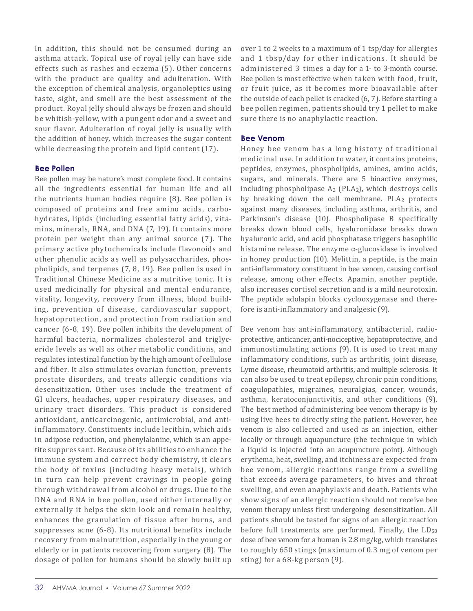In addition, this should not be consumed during an asthma attack. Topical use of royal jelly can have side effects such as rashes and eczema (5). Other concerns with the product are quality and adulteration. With the exception of chemical analysis, organoleptics using taste, sight, and smell are the best assessment of the product. Royal jelly should always be frozen and should be whitish-yellow, with a pungent odor and a sweet and sour flavor. Adulteration of royal jelly is usually with the addition of honey, which increases the sugar content while decreasing the protein and lipid content (17).

# **Bee Pollen**

Bee pollen may be nature's most complete food. It contains all the ingredients essential for human life and all the nutrients human bodies require (8). Bee pollen is composed of proteins and free amino acids, carbohydrates, lipids (including essential fatty acids), vitamins, minerals, RNA, and DNA (7, 19). It contains more protein per weight than any animal source (7). The primary active phytochemicals include flavonoids and other phenolic acids as well as polysaccharides, phospholipids, and terpenes (7, 8, 19). Bee pollen is used in Traditional Chinese Medicine as a nutritive tonic. It is used medicinally for physical and mental endurance, vitality, longevity, recovery from illness, blood building, prevention of disease, cardiovascular support, hepatoprotection, and protection from radiation and cancer (6-8, 19). Bee pollen inhibits the development of harmful bacteria, normalizes cholesterol and triglyceride levels as well as other metabolic conditions, and regulates intestinal function by the high amount of cellulose and fiber. It also stimulates ovarian function, prevents prostate disorders, and treats allergic conditions via desensitization. Other uses include the treatment of GI ulcers, headaches, upper respiratory diseases, and urinary tract disorders. This product is considered antioxidant, anticarcinogenic, antimicrobial, and antiinflammatory. Constituents include lecithin, which aids in adipose reduction, and phenylalanine, which is an appetite suppressant. Because of its abilities to enhance the immune system and correct body chemistry, it clears the body of toxins (including heavy metals), which in turn can help prevent cravings in people going through withdrawal from alcohol or drugs. Due to the DNA and RNA in bee pollen, used either internally or externally it helps the skin look and remain healthy, enhances the granulation of tissue after burns, and suppresses acne (6-8). Its nutritional benefits include recovery from malnutrition, especially in the young or elderly or in patients recovering from surgery (8). The dosage of pollen for humans should be slowly built up

over 1 to 2 weeks to a maximum of 1 tsp/day for allergies and 1 tbsp/day for other indications. It should be administered 3 times a day for a 1- to 3-month course. Bee pollen is most effective when taken with food, fruit, or fruit juice, as it becomes more bioavailable after the outside of each pellet is cracked (6, 7). Before starting a bee pollen regimen, patients should try 1 pellet to make sure there is no anaphylactic reaction.

# **Bee Venom**

Honey bee venom has a long history of traditional medicinal use. In addition to water, it contains proteins, peptides, enzymes, phospholipids, amines, amino acids, sugars, and minerals. There are 5 bioactive enzymes, including phospholipase  $A_2$  (PLA<sub>2</sub>), which destroys cells by breaking down the cell membrane.  $PLA<sub>2</sub>$  protects against many diseases, including asthma, arthritis, and Parkinson's disease (10). Phospholipase B specifically breaks down blood cells, hyaluronidase breaks down hyaluronic acid, and acid phosphatase triggers basophilic histamine release. The enzyme  $\alpha$ -glucosidase is involved in honey production (10). Melittin, a peptide, is the main anti-inflammatory constituent in bee venom, causing cortisol release, among other effects. Apamin, another peptide, also increases cortisol secretion and is a mild neurotoxin. The peptide adolapin blocks cyclooxygenase and therefore is anti-inflammatory and analgesic (9).

Bee venom has anti-inflammatory, antibacterial, radioprotective, anticancer, anti-nociceptive, hepatoprotective, and immunostimulating actions (9). It is used to treat many inflammatory conditions, such as arthritis, joint disease, Lyme disease, rheumatoid arthritis, and multiple sclerosis. It can also be used to treat epilepsy, chronic pain conditions, coagulopathies, migraines, neuralgias, cancer, wounds, asthma, keratoconjunctivitis, and other conditions (9). The best method of administering bee venom therapy is by using live bees to directly sting the patient. However, bee venom is also collected and used as an injection, either locally or through aquapuncture (the technique in which a liquid is injected into an acupuncture point). Although erythema, heat, swelling, and itchiness are expected from bee venom, allergic reactions range from a swelling that exceeds average parameters, to hives and throat swelling, and even anaphylaxis and death. Patients who show signs of an allergic reaction should not receive bee venom therapy unless first undergoing desensitization. All patients should be tested for signs of an allergic reaction before full treatments are performed. Finally, the  $LD_{50}$ dose of bee venom for a human is 2.8 mg/kg, which translates to roughly 650 stings (maximum of 0.3 mg of venom per sting) for a 68-kg person (9).